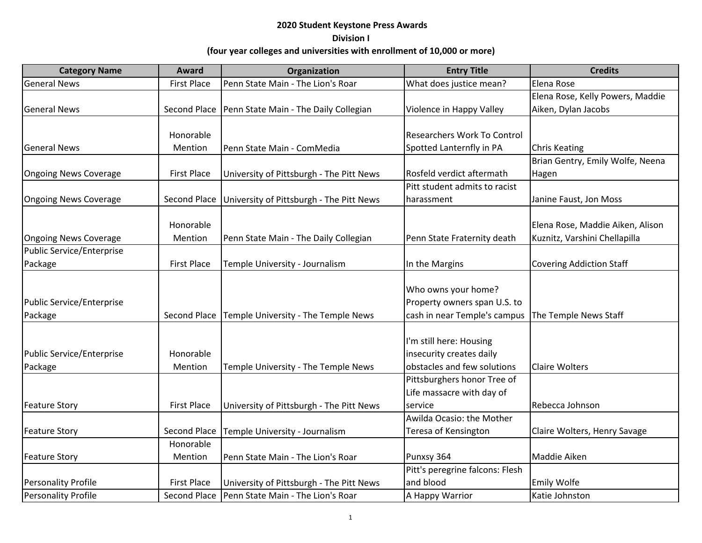| <b>Category Name</b>             | <b>Award</b>        | Organization                             | <b>Entry Title</b>                 | <b>Credits</b>                   |
|----------------------------------|---------------------|------------------------------------------|------------------------------------|----------------------------------|
| <b>General News</b>              | <b>First Place</b>  | Penn State Main - The Lion's Roar        | What does justice mean?            | Elena Rose                       |
|                                  |                     |                                          |                                    | Elena Rose, Kelly Powers, Maddie |
| <b>General News</b>              | <b>Second Place</b> | Penn State Main - The Daily Collegian    | Violence in Happy Valley           | Aiken, Dylan Jacobs              |
|                                  |                     |                                          |                                    |                                  |
|                                  | Honorable           |                                          | <b>Researchers Work To Control</b> |                                  |
| <b>General News</b>              | Mention             | Penn State Main - ComMedia               | Spotted Lanternfly in PA           | <b>Chris Keating</b>             |
|                                  |                     |                                          |                                    | Brian Gentry, Emily Wolfe, Neena |
| <b>Ongoing News Coverage</b>     | <b>First Place</b>  | University of Pittsburgh - The Pitt News | Rosfeld verdict aftermath          | Hagen                            |
|                                  |                     |                                          | Pitt student admits to racist      |                                  |
| <b>Ongoing News Coverage</b>     | Second Place        | University of Pittsburgh - The Pitt News | harassment                         | Janine Faust, Jon Moss           |
|                                  |                     |                                          |                                    |                                  |
|                                  | Honorable           |                                          |                                    | Elena Rose, Maddie Aiken, Alison |
| <b>Ongoing News Coverage</b>     | Mention             | Penn State Main - The Daily Collegian    | Penn State Fraternity death        | Kuznitz, Varshini Chellapilla    |
| <b>Public Service/Enterprise</b> |                     |                                          |                                    |                                  |
| Package                          | <b>First Place</b>  | Temple University - Journalism           | In the Margins                     | <b>Covering Addiction Staff</b>  |
|                                  |                     |                                          |                                    |                                  |
|                                  |                     |                                          | Who owns your home?                |                                  |
| Public Service/Enterprise        |                     |                                          | Property owners span U.S. to       |                                  |
| Package                          | Second Place        | Temple University - The Temple News      | cash in near Temple's campus       | The Temple News Staff            |
|                                  |                     |                                          |                                    |                                  |
|                                  |                     |                                          | I'm still here: Housing            |                                  |
| Public Service/Enterprise        | Honorable           |                                          | insecurity creates daily           |                                  |
| Package                          | Mention             | Temple University - The Temple News      | obstacles and few solutions        | <b>Claire Wolters</b>            |
|                                  |                     |                                          | Pittsburghers honor Tree of        |                                  |
|                                  |                     |                                          | Life massacre with day of          |                                  |
| <b>Feature Story</b>             | <b>First Place</b>  | University of Pittsburgh - The Pitt News | service                            | Rebecca Johnson                  |
|                                  |                     |                                          | Awilda Ocasio: the Mother          |                                  |
| <b>Feature Story</b>             | <b>Second Place</b> | Temple University - Journalism           | Teresa of Kensington               | Claire Wolters, Henry Savage     |
|                                  | Honorable           |                                          |                                    |                                  |
| <b>Feature Story</b>             | Mention             | Penn State Main - The Lion's Roar        | Punxsy 364                         | Maddie Aiken                     |
|                                  |                     |                                          | Pitt's peregrine falcons: Flesh    |                                  |
| <b>Personality Profile</b>       | <b>First Place</b>  | University of Pittsburgh - The Pitt News | and blood                          | Emily Wolfe                      |
| Personality Profile              | Second Place        | Penn State Main - The Lion's Roar        | A Happy Warrior                    | Katie Johnston                   |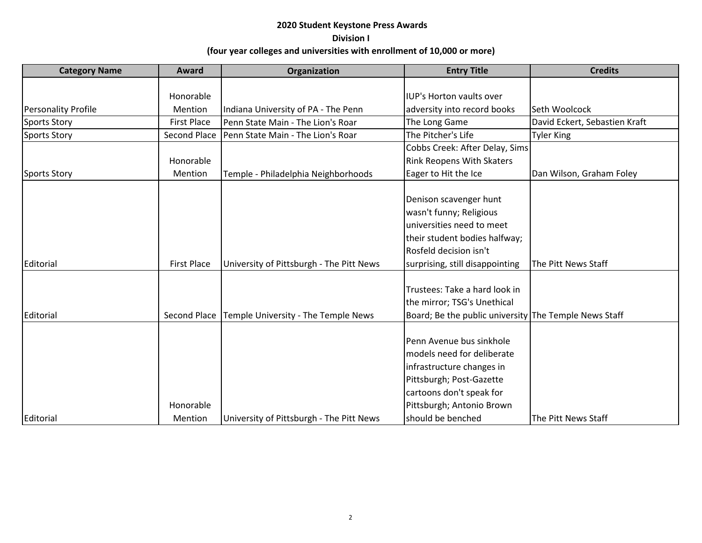| <b>Category Name</b>       | Award                | Organization                             | <b>Entry Title</b>                                                                                                                                                                            | <b>Credits</b>                |
|----------------------------|----------------------|------------------------------------------|-----------------------------------------------------------------------------------------------------------------------------------------------------------------------------------------------|-------------------------------|
|                            |                      |                                          |                                                                                                                                                                                               |                               |
|                            | Honorable            |                                          | <b>IUP's Horton vaults over</b>                                                                                                                                                               |                               |
| <b>Personality Profile</b> | Mention              | Indiana University of PA - The Penn      | adversity into record books                                                                                                                                                                   | Seth Woolcock                 |
| <b>Sports Story</b>        | <b>First Place</b>   | Penn State Main - The Lion's Roar        | The Long Game                                                                                                                                                                                 | David Eckert, Sebastien Kraft |
| <b>Sports Story</b>        | <b>Second Place</b>  | Penn State Main - The Lion's Roar        | The Pitcher's Life                                                                                                                                                                            | <b>Tyler King</b>             |
|                            |                      |                                          | Cobbs Creek: After Delay, Sims                                                                                                                                                                |                               |
|                            | Honorable            |                                          | <b>Rink Reopens With Skaters</b>                                                                                                                                                              |                               |
| <b>Sports Story</b>        | Mention              | Temple - Philadelphia Neighborhoods      | Eager to Hit the Ice                                                                                                                                                                          | Dan Wilson, Graham Foley      |
|                            |                      |                                          | Denison scavenger hunt<br>wasn't funny; Religious<br>universities need to meet<br>their student bodies halfway;<br>Rosfeld decision isn't                                                     |                               |
| Editorial                  | <b>First Place</b>   | University of Pittsburgh - The Pitt News | surprising, still disappointing                                                                                                                                                               | The Pitt News Staff           |
| Editorial                  | Second Place         | Temple University - The Temple News      | Trustees: Take a hard look in<br>the mirror; TSG's Unethical<br>Board; Be the public university The Temple News Staff                                                                         |                               |
| Editorial                  | Honorable<br>Mention | University of Pittsburgh - The Pitt News | Penn Avenue bus sinkhole<br>models need for deliberate<br>infrastructure changes in<br>Pittsburgh; Post-Gazette<br>cartoons don't speak for<br>Pittsburgh; Antonio Brown<br>should be benched | The Pitt News Staff           |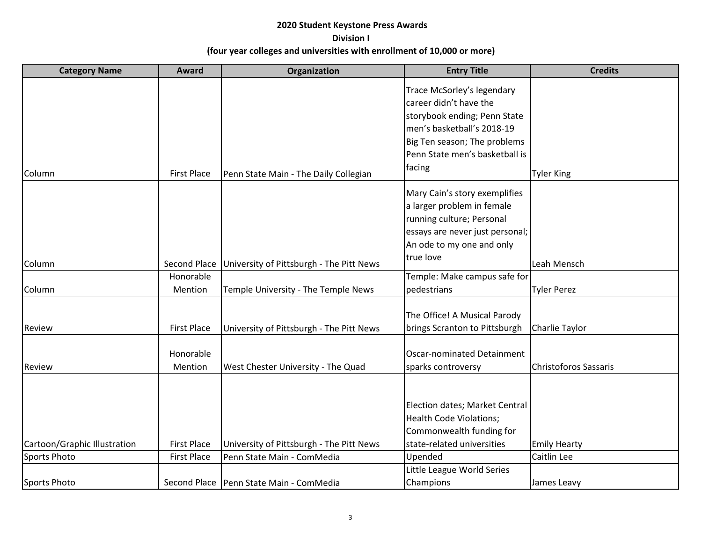| <b>Category Name</b>         | Award                | Organization                              | <b>Entry Title</b>                                                                                                                                                                             | <b>Credits</b>               |
|------------------------------|----------------------|-------------------------------------------|------------------------------------------------------------------------------------------------------------------------------------------------------------------------------------------------|------------------------------|
| Column                       | <b>First Place</b>   | Penn State Main - The Daily Collegian     | Trace McSorley's legendary<br>career didn't have the<br>storybook ending; Penn State<br>men's basketball's 2018-19<br>Big Ten season; The problems<br>Penn State men's basketball is<br>facing | <b>Tyler King</b>            |
| Column                       | Second Place         | University of Pittsburgh - The Pitt News  | Mary Cain's story exemplifies<br>a larger problem in female<br>running culture; Personal<br>essays are never just personal;<br>An ode to my one and only<br>true love                          | Leah Mensch                  |
|                              | Honorable            |                                           | Temple: Make campus safe for                                                                                                                                                                   |                              |
| Column                       | Mention              | Temple University - The Temple News       | pedestrians                                                                                                                                                                                    | <b>Tyler Perez</b>           |
| Review                       | <b>First Place</b>   | University of Pittsburgh - The Pitt News  | The Office! A Musical Parody<br>brings Scranton to Pittsburgh                                                                                                                                  | Charlie Taylor               |
| Review                       | Honorable<br>Mention | West Chester University - The Quad        | Oscar-nominated Detainment<br>sparks controversy                                                                                                                                               | <b>Christoforos Sassaris</b> |
| Cartoon/Graphic Illustration | <b>First Place</b>   | University of Pittsburgh - The Pitt News  | Election dates; Market Central<br><b>Health Code Violations;</b><br>Commonwealth funding for<br>state-related universities                                                                     | <b>Emily Hearty</b>          |
| Sports Photo                 | <b>First Place</b>   | Penn State Main - ComMedia                | Upended                                                                                                                                                                                        | Caitlin Lee                  |
| Sports Photo                 |                      | Second Place   Penn State Main - ComMedia | Little League World Series<br>Champions                                                                                                                                                        | James Leavy                  |
|                              |                      |                                           |                                                                                                                                                                                                |                              |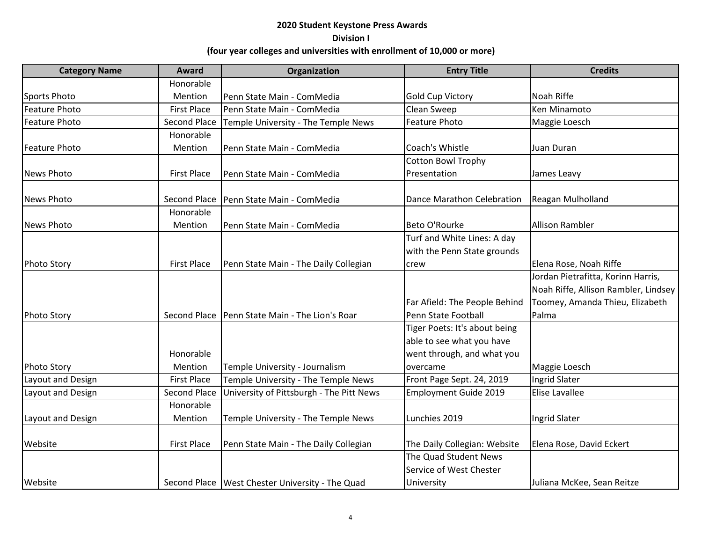| <b>Category Name</b> | <b>Award</b>        | Organization                                      | <b>Entry Title</b>            | <b>Credits</b>                       |
|----------------------|---------------------|---------------------------------------------------|-------------------------------|--------------------------------------|
|                      | Honorable           |                                                   |                               |                                      |
| Sports Photo         | Mention             | Penn State Main - ComMedia                        | <b>Gold Cup Victory</b>       | Noah Riffe                           |
| <b>Feature Photo</b> | <b>First Place</b>  | Penn State Main - ComMedia                        | Clean Sweep                   | <b>Ken Minamoto</b>                  |
| <b>Feature Photo</b> | <b>Second Place</b> | Temple University - The Temple News               | <b>Feature Photo</b>          | Maggie Loesch                        |
|                      | Honorable           |                                                   |                               |                                      |
| <b>Feature Photo</b> | Mention             | Penn State Main - ComMedia                        | Coach's Whistle               | Juan Duran                           |
|                      |                     |                                                   | <b>Cotton Bowl Trophy</b>     |                                      |
| <b>News Photo</b>    | <b>First Place</b>  | Penn State Main - ComMedia                        | Presentation                  | James Leavy                          |
| <b>News Photo</b>    | <b>Second Place</b> | Penn State Main - ComMedia                        | Dance Marathon Celebration    | Reagan Mulholland                    |
|                      | Honorable           |                                                   |                               |                                      |
| <b>News Photo</b>    | Mention             | Penn State Main - ComMedia                        | Beto O'Rourke                 | <b>Allison Rambler</b>               |
|                      |                     |                                                   | Turf and White Lines: A day   |                                      |
|                      |                     |                                                   | with the Penn State grounds   |                                      |
| <b>Photo Story</b>   | <b>First Place</b>  | Penn State Main - The Daily Collegian             | crew                          | Elena Rose, Noah Riffe               |
|                      |                     |                                                   |                               | Jordan Pietrafitta, Korinn Harris,   |
|                      |                     |                                                   |                               | Noah Riffe, Allison Rambler, Lindsey |
|                      |                     |                                                   | Far Afield: The People Behind | Toomey, Amanda Thieu, Elizabeth      |
| <b>Photo Story</b>   | Second Place        | Penn State Main - The Lion's Roar                 | Penn State Football           | Palma                                |
|                      |                     |                                                   | Tiger Poets: It's about being |                                      |
|                      |                     |                                                   | able to see what you have     |                                      |
|                      | Honorable           |                                                   | went through, and what you    |                                      |
| Photo Story          | Mention             | Temple University - Journalism                    | overcame                      | Maggie Loesch                        |
| Layout and Design    | <b>First Place</b>  | Temple University - The Temple News               | Front Page Sept. 24, 2019     | <b>Ingrid Slater</b>                 |
| Layout and Design    | <b>Second Place</b> | University of Pittsburgh - The Pitt News          | <b>Employment Guide 2019</b>  | Elise Lavallee                       |
|                      | Honorable           |                                                   |                               |                                      |
| Layout and Design    | Mention             | Temple University - The Temple News               | Lunchies 2019                 | <b>Ingrid Slater</b>                 |
| Website              | <b>First Place</b>  | Penn State Main - The Daily Collegian             | The Daily Collegian: Website  | Elena Rose, David Eckert             |
|                      |                     |                                                   | The Quad Student News         |                                      |
|                      |                     |                                                   | Service of West Chester       |                                      |
| Website              |                     | Second Place   West Chester University - The Quad | University                    | Juliana McKee, Sean Reitze           |